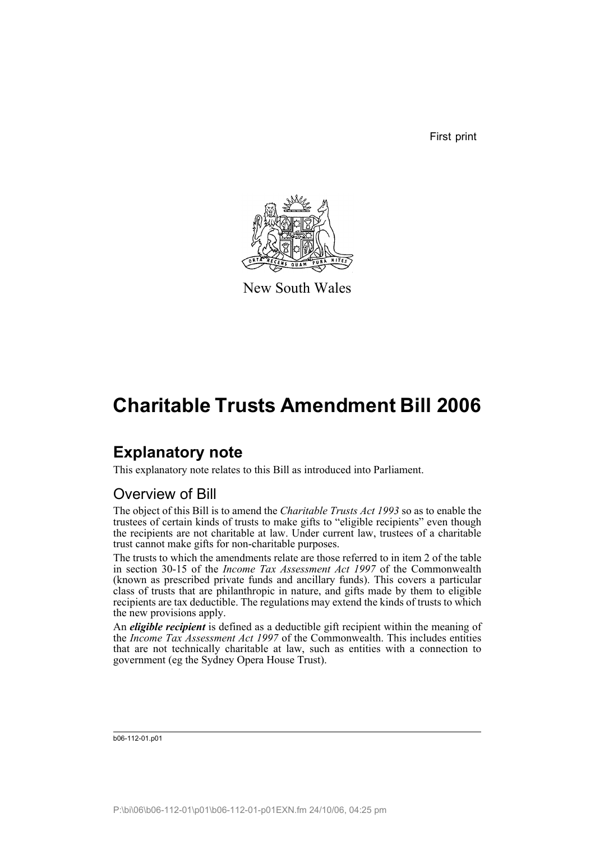First print



New South Wales

# **Charitable Trusts Amendment Bill 2006**

# **Explanatory note**

This explanatory note relates to this Bill as introduced into Parliament.

## Overview of Bill

The object of this Bill is to amend the *Charitable Trusts Act 1993* so as to enable the trustees of certain kinds of trusts to make gifts to "eligible recipients" even though the recipients are not charitable at law. Under current law, trustees of a charitable trust cannot make gifts for non-charitable purposes.

The trusts to which the amendments relate are those referred to in item 2 of the table in section 30-15 of the *Income Tax Assessment Act 1997* of the Commonwealth (known as prescribed private funds and ancillary funds). This covers a particular class of trusts that are philanthropic in nature, and gifts made by them to eligible recipients are tax deductible. The regulations may extend the kinds of trusts to which the new provisions apply.

An *eligible recipient* is defined as a deductible gift recipient within the meaning of the *Income Tax Assessment Act 1997* of the Commonwealth. This includes entities that are not technically charitable at law, such as entities with a connection to government (eg the Sydney Opera House Trust).

b06-112-01.p01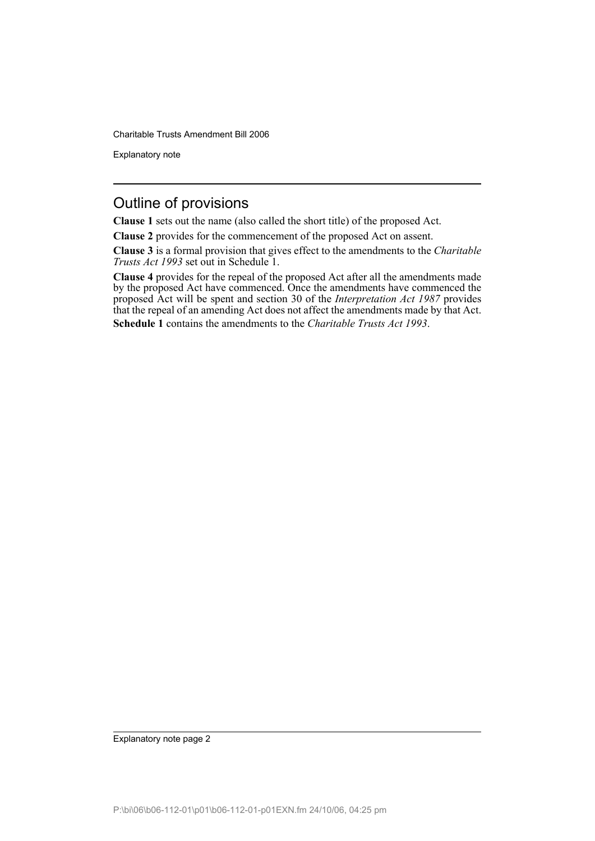Explanatory note

## Outline of provisions

**Clause 1** sets out the name (also called the short title) of the proposed Act.

**Clause 2** provides for the commencement of the proposed Act on assent.

**Clause 3** is a formal provision that gives effect to the amendments to the *Charitable Trusts Act 1993* set out in Schedule 1.

**Clause 4** provides for the repeal of the proposed Act after all the amendments made by the proposed Act have commenced. Once the amendments have commenced the proposed Act will be spent and section 30 of the *Interpretation Act 1987* provides that the repeal of an amending Act does not affect the amendments made by that Act. **Schedule 1** contains the amendments to the *Charitable Trusts Act 1993*.

Explanatory note page 2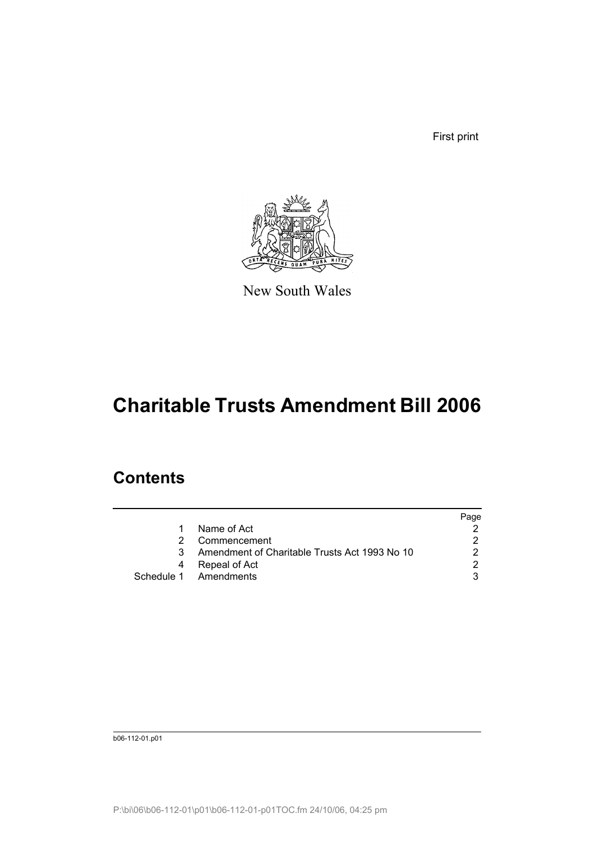First print



New South Wales

# **Charitable Trusts Amendment Bill 2006**

## **Contents**

|    |                                               | Page          |
|----|-----------------------------------------------|---------------|
| 1. | Name of Act                                   |               |
|    | Commencement                                  | 2             |
|    | Amendment of Charitable Trusts Act 1993 No 10 | 2.            |
|    | Repeal of Act                                 | $\mathcal{D}$ |
|    | Schedule 1 Amendments                         | 3             |

b06-112-01.p01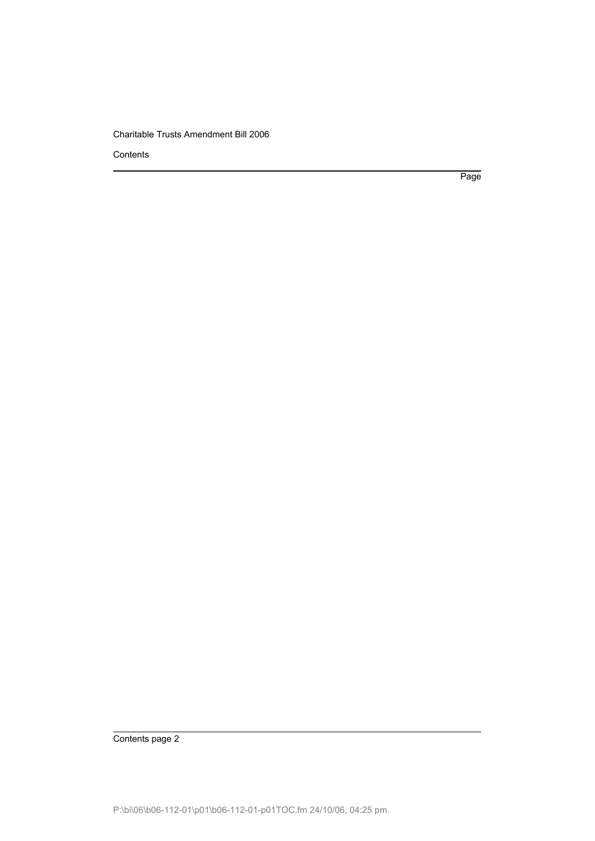**Contents** 

Page

Contents page 2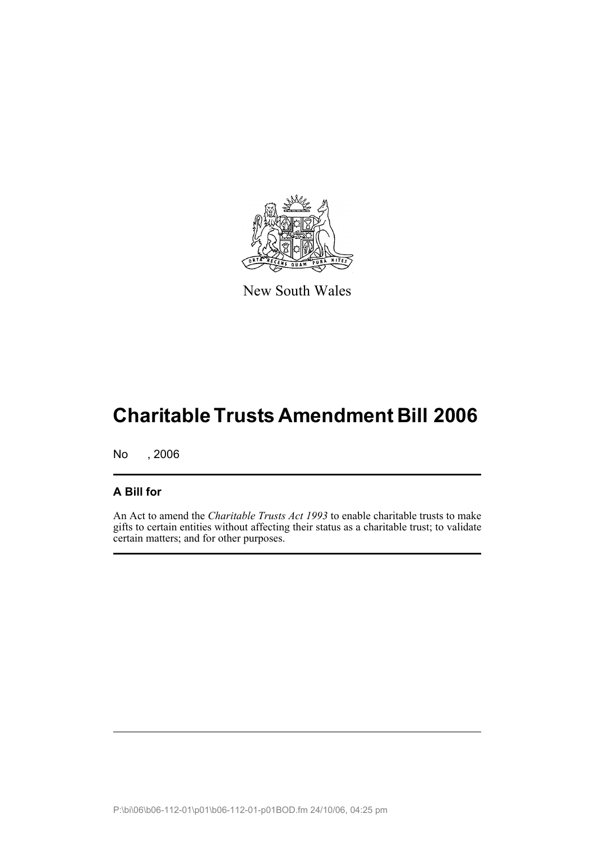

New South Wales

# **Charitable Trusts Amendment Bill 2006**

No , 2006

### **A Bill for**

An Act to amend the *Charitable Trusts Act 1993* to enable charitable trusts to make gifts to certain entities without affecting their status as a charitable trust; to validate certain matters; and for other purposes.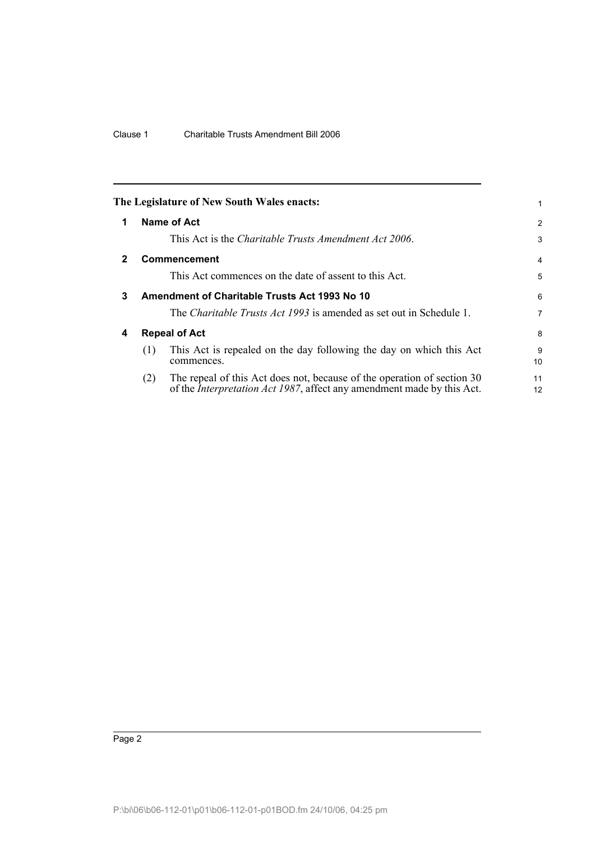|   |     | The Legislature of New South Wales enacts:                                                                                                                | 1        |
|---|-----|-----------------------------------------------------------------------------------------------------------------------------------------------------------|----------|
| 1 |     | Name of Act                                                                                                                                               | 2        |
|   |     | This Act is the <i>Charitable Trusts Amendment Act 2006</i> .                                                                                             | 3        |
| 2 |     | <b>Commencement</b>                                                                                                                                       | 4        |
|   |     | This Act commences on the date of assent to this Act.                                                                                                     | 5        |
| 3 |     | Amendment of Charitable Trusts Act 1993 No 10                                                                                                             | 6        |
|   |     | The <i>Charitable Trusts Act 1993</i> is amended as set out in Schedule 1.                                                                                | 7        |
| 4 |     | <b>Repeal of Act</b>                                                                                                                                      | 8        |
|   | (1) | This Act is repealed on the day following the day on which this Act<br>commences.                                                                         | 9<br>10  |
|   | (2) | The repeal of this Act does not, because of the operation of section 30<br>of the <i>Interpretation Act 1987</i> , affect any amendment made by this Act. | 11<br>12 |
|   |     |                                                                                                                                                           |          |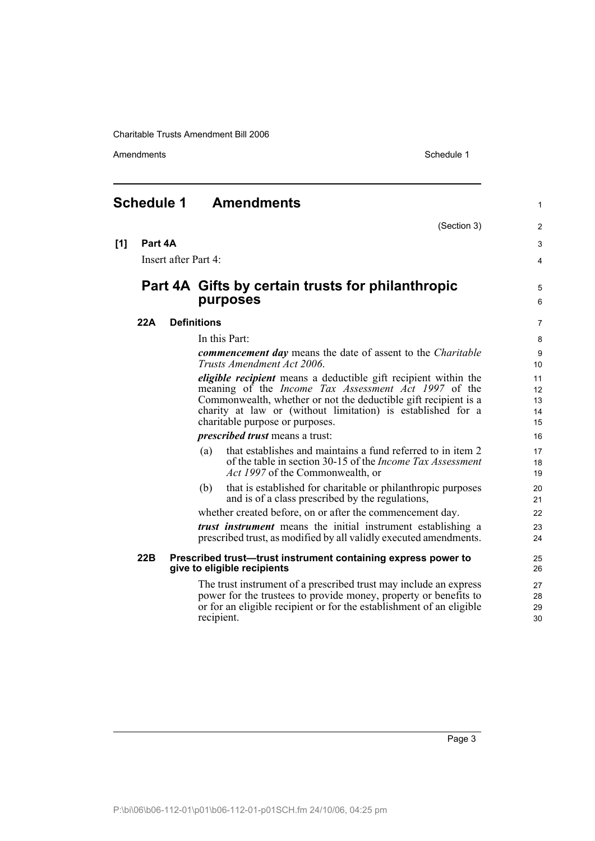Amendments Schedule 1

|     |         |                      | <b>Schedule 1 Amendments</b>                                                                                                                                                                                                                                                                               | $\mathbf{1}$               |
|-----|---------|----------------------|------------------------------------------------------------------------------------------------------------------------------------------------------------------------------------------------------------------------------------------------------------------------------------------------------------|----------------------------|
|     |         |                      | (Section 3)                                                                                                                                                                                                                                                                                                | $\overline{2}$             |
| [1] | Part 4A |                      |                                                                                                                                                                                                                                                                                                            | 3                          |
|     |         | Insert after Part 4: |                                                                                                                                                                                                                                                                                                            | 4                          |
|     |         |                      | Part 4A Gifts by certain trusts for philanthropic<br>purposes                                                                                                                                                                                                                                              | 5<br>6                     |
|     | 22A     |                      | <b>Definitions</b>                                                                                                                                                                                                                                                                                         | 7                          |
|     |         |                      | In this Part:                                                                                                                                                                                                                                                                                              | 8                          |
|     |         |                      | <b>commencement day</b> means the date of assent to the <i>Charitable</i><br>Trusts Amendment Act 2006.                                                                                                                                                                                                    | 9<br>10                    |
|     |         |                      | <i>eligible recipient</i> means a deductible gift recipient within the<br>meaning of the <i>Income Tax Assessment Act 1997</i> of the<br>Commonwealth, whether or not the deductible gift recipient is a<br>charity at law or (without limitation) is established for a<br>charitable purpose or purposes. | 11<br>12<br>13<br>14<br>15 |
|     |         |                      | <i>prescribed trust</i> means a trust:                                                                                                                                                                                                                                                                     | 16                         |
|     |         |                      | that establishes and maintains a fund referred to in item 2<br>(a)<br>of the table in section 30-15 of the <i>Income Tax Assessment</i><br>Act 1997 of the Commonwealth, or                                                                                                                                | 17<br>18<br>19             |
|     |         |                      | that is established for charitable or philanthropic purposes<br>(b)<br>and is of a class prescribed by the regulations,                                                                                                                                                                                    | 20<br>21                   |
|     |         |                      | whether created before, on or after the commencement day.                                                                                                                                                                                                                                                  | 22                         |
|     |         |                      | <i>trust instrument</i> means the initial instrument establishing a<br>prescribed trust, as modified by all validly executed amendments.                                                                                                                                                                   | 23<br>24                   |
|     | 22B     |                      | Prescribed trust-trust instrument containing express power to<br>give to eligible recipients                                                                                                                                                                                                               | 25<br>26                   |
|     |         |                      | The trust instrument of a prescribed trust may include an express<br>power for the trustees to provide money, property or benefits to<br>or for an eligible recipient or for the establishment of an eligible<br>recipient.                                                                                | 27<br>28<br>29<br>30       |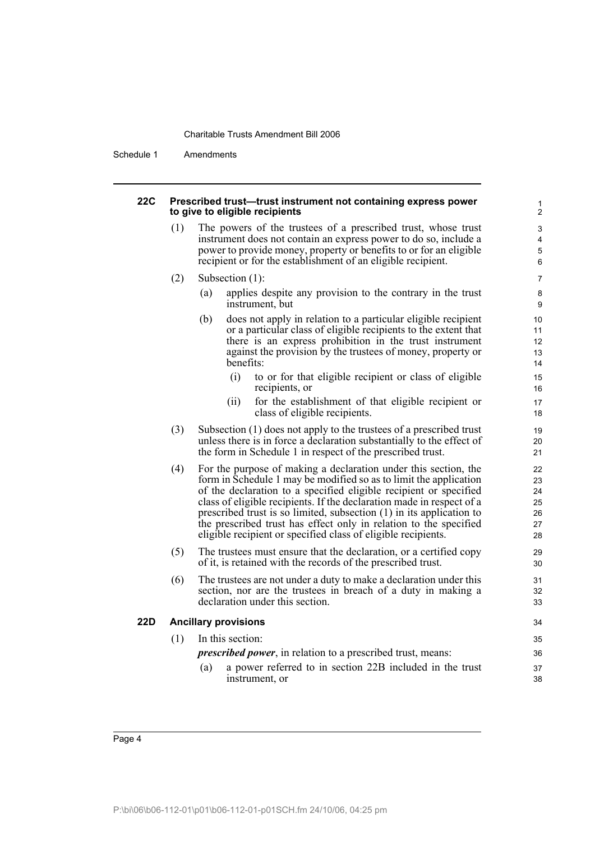Schedule 1 Amendments

#### **22C Prescribed trust—trust instrument not containing express power to give to eligible recipients**

- (1) The powers of the trustees of a prescribed trust, whose trust instrument does not contain an express power to do so, include a power to provide money, property or benefits to or for an eligible recipient or for the establishment of an eligible recipient.
- (2) Subsection (1):
	- (a) applies despite any provision to the contrary in the trust instrument, but

- (b) does not apply in relation to a particular eligible recipient or a particular class of eligible recipients to the extent that there is an express prohibition in the trust instrument against the provision by the trustees of money, property or benefits:
	- (i) to or for that eligible recipient or class of eligible recipients, or
	- (ii) for the establishment of that eligible recipient or class of eligible recipients.
- (3) Subsection (1) does not apply to the trustees of a prescribed trust unless there is in force a declaration substantially to the effect of the form in Schedule 1 in respect of the prescribed trust.
- (4) For the purpose of making a declaration under this section, the form in Schedule 1 may be modified so as to limit the application of the declaration to a specified eligible recipient or specified class of eligible recipients. If the declaration made in respect of a prescribed trust is so limited, subsection (1) in its application to the prescribed trust has effect only in relation to the specified eligible recipient or specified class of eligible recipients.
- (5) The trustees must ensure that the declaration, or a certified copy of it, is retained with the records of the prescribed trust.
- (6) The trustees are not under a duty to make a declaration under this section, nor are the trustees in breach of a duty in making a declaration under this section.

#### **22D Ancillary provisions**

|     | $(1)$ In this section:                                                     | 35       |
|-----|----------------------------------------------------------------------------|----------|
|     | <i>prescribed power</i> , in relation to a prescribed trust, means:        | 36       |
| (a) | a power referred to in section 22B included in the trust<br>instrument, or | 37<br>38 |
|     |                                                                            |          |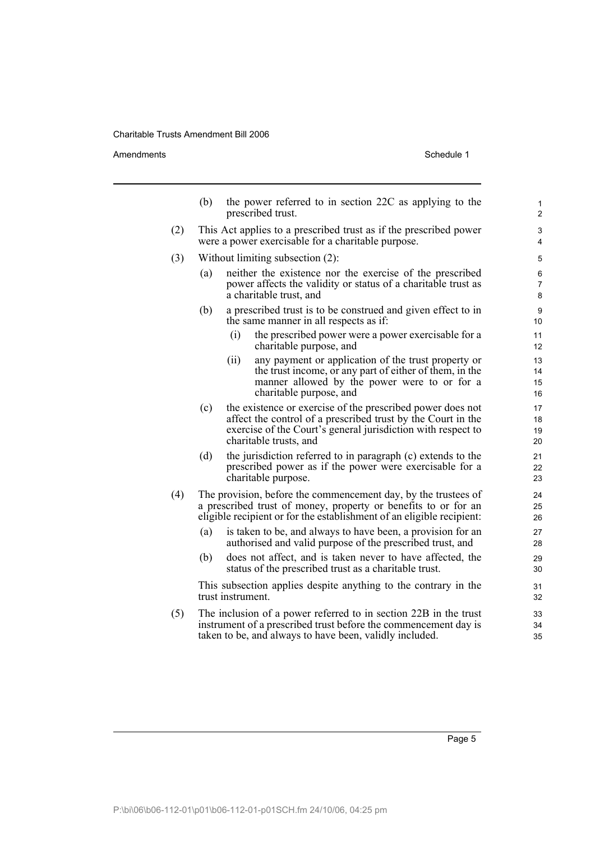Amendments Schedule 1

|     | (b)                                                                                  | the power referred to in section 22C as applying to the<br>prescribed trust.                                                                                                                                         | 1<br>$\overline{c}$      |
|-----|--------------------------------------------------------------------------------------|----------------------------------------------------------------------------------------------------------------------------------------------------------------------------------------------------------------------|--------------------------|
| (2) |                                                                                      | This Act applies to a prescribed trust as if the prescribed power<br>were a power exercisable for a charitable purpose.                                                                                              | 3<br>4                   |
| (3) | Without limiting subsection (2):                                                     |                                                                                                                                                                                                                      | 5                        |
|     | (a)                                                                                  | neither the existence nor the exercise of the prescribed<br>power affects the validity or status of a charitable trust as<br>a charitable trust, and                                                                 | 6<br>$\overline{7}$<br>8 |
|     | (b)                                                                                  | a prescribed trust is to be construed and given effect to in<br>the same manner in all respects as if:                                                                                                               | 9<br>10                  |
|     |                                                                                      | the prescribed power were a power exercisable for a<br>(i)<br>charitable purpose, and                                                                                                                                | 11<br>12                 |
|     |                                                                                      | any payment or application of the trust property or<br>(ii)<br>the trust income, or any part of either of them, in the<br>manner allowed by the power were to or for a<br>charitable purpose, and                    | 13<br>14<br>15<br>16     |
|     | (c)                                                                                  | the existence or exercise of the prescribed power does not<br>affect the control of a prescribed trust by the Court in the<br>exercise of the Court's general jurisdiction with respect to<br>charitable trusts, and | 17<br>18<br>19<br>20     |
|     | (d)                                                                                  | the jurisdiction referred to in paragraph (c) extends to the<br>prescribed power as if the power were exercisable for a<br>charitable purpose.                                                                       | 21<br>22<br>23           |
| (4) |                                                                                      | The provision, before the commencement day, by the trustees of<br>a prescribed trust of money, property or benefits to or for an<br>eligible recipient or for the establishment of an eligible recipient:            | 24<br>25<br>26           |
|     | (a)                                                                                  | is taken to be, and always to have been, a provision for an<br>authorised and valid purpose of the prescribed trust, and                                                                                             | 27<br>28                 |
|     | (b)                                                                                  | does not affect, and is taken never to have affected, the<br>status of the prescribed trust as a charitable trust.                                                                                                   | 29<br>30                 |
|     | This subsection applies despite anything to the contrary in the<br>trust instrument. |                                                                                                                                                                                                                      | 31<br>32                 |
| (5) |                                                                                      | The inclusion of a power referred to in section 22B in the trust<br>instrument of a prescribed trust before the commencement day is<br>taken to be, and always to have been, validly included.                       | 33<br>34<br>35           |

Page 5